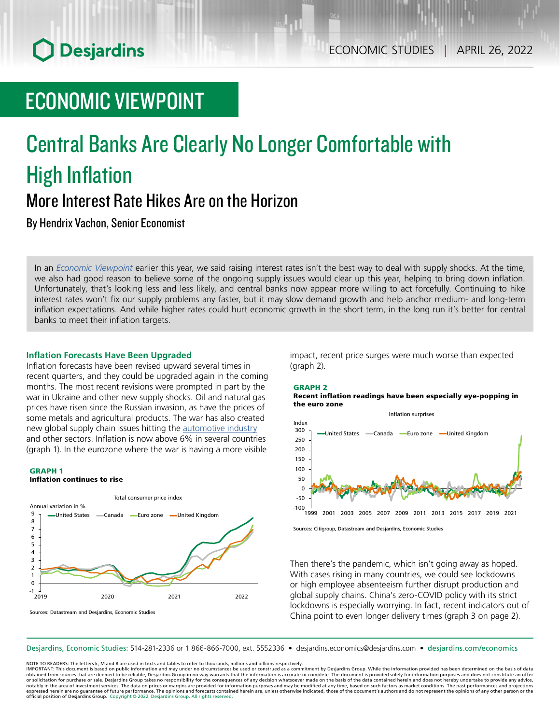# **O** Desjardins

# ECONOMIC VIEWPOINT

# Central Banks Are Clearly No Longer Comfortable with High Inflation More Interest Rate Hikes Are on the Horizon

By Hendrix Vachon, Senior Economist

In an *Economic [Viewpoint](https://www.desjardins.com/ressources/pdf/pv220119-e.pdf?resVer=1642610575000)* earlier this year, we said raising interest rates isn't the best way to deal with supply shocks. At the time, we also had good reason to believe some of the ongoing supply issues would clear up this year, helping to bring down inflation. Unfortunately, that's looking less and less likely, and central banks now appear more willing to act forcefully. Continuing to hike interest rates won't fix our supply problems any faster, but it may slow demand growth and help anchor medium- and long-term inflation expectations. And while higher rates could hurt economic growth in the short term, in the long run it's better for central banks to meet their inflation targets.

## **Inflation Forecasts Have Been Upgraded**

Inflation forecasts have been revised upward several times in recent quarters, and they could be upgraded again in the coming months. The most recent revisions were prompted in part by the war in Ukraine and other new supply shocks. Oil and natural gas prices have risen since the Russian invasion, as have the prices of some metals and agricultural products. The war has also created new global supply chain issues hitting the [automotive](https://www.desjardins.com/ressources/pdf/pv050422e.pdf?resVer=1649167373000) industry and other sectors. Inflation is now above 6% in several countries (graph 1). In the eurozone where the war is having a more visible

### GRAPH 1

Inflation continues to rise



Sources: Datastream and Desjardins, Economic Studies

impact, recent price surges were much worse than expected (graph 2).



Recent inflation readings have been especially eye-popping in the euro zone



Sources: Citigroup, Datastream and Desjardins, Economic Studies

Then there's the pandemic, which isn't going away as hoped. With cases rising in many countries, we could see lockdowns or high employee absenteeism further disrupt production and global supply chains. China's zero-COVID policy with its strict lockdowns is especially worrying. In fact, recent indicators out of China point to even longer delivery times (graph 3 on page 2).

Desjardins, Economic Studies: 514‑281‑2336 or 1 866‑866‑7000, ext. 5552336 • desjardins.economics@desjardins.com • [desjardins.com/economics](http://desjardins.com/economics)

NOTE TO READERS: The letters k, M and B are used in texts and tables to refer to thousands, millions and billions respectively.

IMPORTANT: This document is based on public information and may under no circumstances be used or construed as a commitment by Desjardins Group. While the information provided has been determined on the basis of data<br>obtai notably in the area of investment services. The data on prices or margins are provided for information purposes and may be modified at any time, based on such factors as market conditions. The past performances and project expressed herein are no guarantee of future performance. The opinions and forecasts contained herein are, unless otherwise indicated, those of the document's authors and do not represent the opinions of any other person or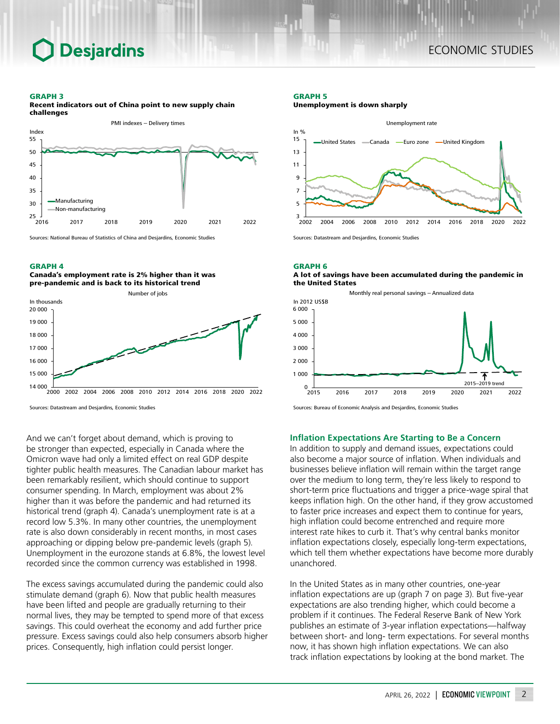## **Desjardins**

#### GRAPH 3



Recent indicators out of China point to new supply chain challenges

Sources: National Bureau of Statistics of China and Desjardins, Economic Studies

#### GRAPH 4





Sources: Datastream and Desjardins, Economic Studies

And we can't forget about demand, which is proving to be stronger than expected, especially in Canada where the Omicron wave had only a limited effect on real GDP despite tighter public health measures. The Canadian labour market has been remarkably resilient, which should continue to support consumer spending. In March, employment was about 2% higher than it was before the pandemic and had returned its historical trend (graph 4). Canada's unemployment rate is at a record low 5.3%. In many other countries, the unemployment rate is also down considerably in recent months, in most cases approaching or dipping below pre-pandemic levels (graph 5). Unemployment in the eurozone stands at 6.8%, the lowest level recorded since the common currency was established in 1998.

The excess savings accumulated during the pandemic could also stimulate demand (graph 6). Now that public health measures have been lifted and people are gradually returning to their normal lives, they may be tempted to spend more of that excess savings. This could overheat the economy and add further price pressure. Excess savings could also help consumers absorb higher prices. Consequently, high inflation could persist longer.

#### GRAPH 5

Unemployment is down sharply



Sources: Datastream and Desjardins, Economic Studies

GRAPH 6

A lot of savings have been accumulated during the pandemic in the United States



Sources: Bureau of Economic Analysis and Desjardins, Economic Studies

## **Inflation Expectations Are Starting to Be a Concern**

In addition to supply and demand issues, expectations could also become a major source of inflation. When individuals and businesses believe inflation will remain within the target range over the medium to long term, they're less likely to respond to short-term price fluctuations and trigger a price-wage spiral that keeps inflation high. On the other hand, if they grow accustomed to faster price increases and expect them to continue for years, high inflation could become entrenched and require more interest rate hikes to curb it. That's why central banks monitor inflation expectations closely, especially long-term expectations, which tell them whether expectations have become more durably unanchored.

In the United States as in many other countries, one-year inflation expectations are up (graph 7 on page 3). But five-year expectations are also trending higher, which could become a problem if it continues. The Federal Reserve Bank of New York publishes an estimate of 3‑year inflation expectations—halfway between short- and long- term expectations. For several months now, it has shown high inflation expectations. We can also track inflation expectations by looking at the bond market. The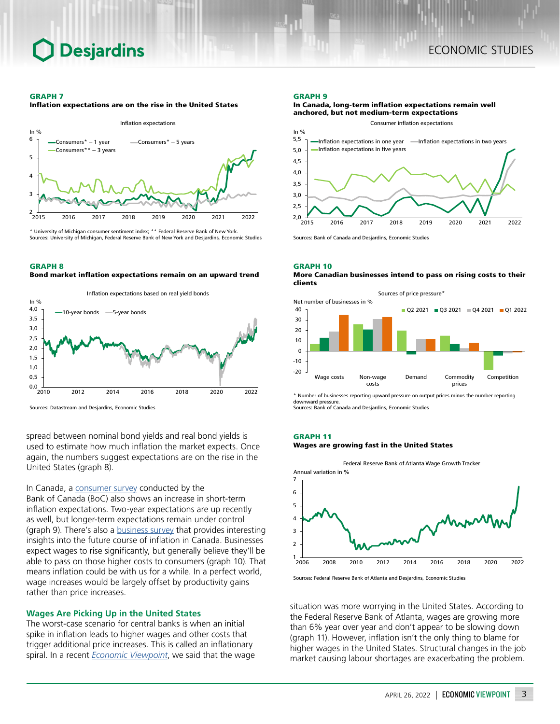## **Desjardins**

#### GRAPH 7

Inflation expectations are on the rise in the United States



\* University of Michigan consumer sentiment index; \*\* Federal Reserve Bank of New York. Sources: University of Michigan, Federal Reserve Bank of New York and Desjardins, Economic Studies

### GRAPH 8

Bond market inflation expectations remain on an upward trend



Sources: Datastream and Desjardins, Economic Studies

spread between nominal bond yields and real bond yields is used to estimate how much inflation the market expects. Once again, the numbers suggest expectations are on the rise in the United States (graph 8).

In Canada, a [consumer](https://www.bankofcanada.ca/2022/04/canadian-survey-of-consumer-expectations-first-quarter-of-2022/?_ga=2.244949318.234959760.1650472887-526165221.1627483196) survey conducted by the Bank of Canada (BoC) also shows an increase in short-term inflation expectations. Two-year expectations are up recently as well, but longer-term expectations remain under control (graph 9). There's also a **business survey** that provides interesting insights into the future course of inflation in Canada. Businesses expect wages to rise significantly, but generally believe they'll be able to pass on those higher costs to consumers (graph 10). That means inflation could be with us for a while. In a perfect world, wage increases would be largely offset by productivity gains rather than price increases.

## **Wages Are Picking Up in the United States**

The worst-case scenario for central banks is when an initial spike in inflation leads to higher wages and other costs that trigger additional price increases. This is called an inflationary spiral. In a recent *Economic [Viewpoint](https://www.desjardins.com/ressources/pdf/pv220316-e.pdf?resVer=1647447325000)*, we said that the wage

#### GRAPH 9

#### In Canada, long-term inflation expectations remain well anchored, but not medium-term expectations



Sources: Bank of Canada and Desjardins, Economic Studies

#### GRAPH 10

#### More Canadian businesses intend to pass on rising costs to their clients



\* Number of businesses reporting upward pressure on output prices minus the number reporting downward pressure. Sources: Bank of Canada and Desjardins, Economic Studies

## GRAPH 11

### Wages are growing fast in the United States



Sources: Federal Reserve Bank of Atlanta and Desjardins, Economic Studies

situation was more worrying in the United States. According to the Federal Reserve Bank of Atlanta, wages are growing more than 6% year over year and don't appear to be slowing down (graph 11). However, inflation isn't the only thing to blame for higher wages in the United States. Structural changes in the job market causing labour shortages are exacerbating the problem.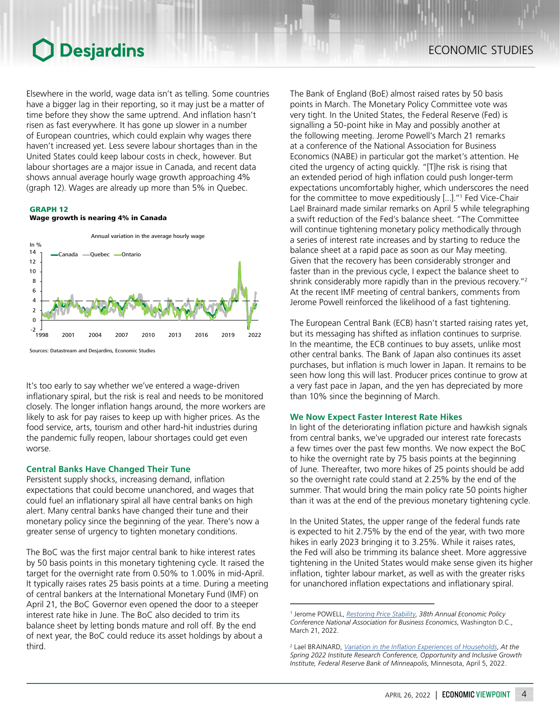## **O** Desjardins

Elsewhere in the world, wage data isn't as telling. Some countries have a bigger lag in their reporting, so it may just be a matter of time before they show the same uptrend. And inflation hasn't risen as fast everywhere. It has gone up slower in a number of European countries, which could explain why wages there haven't increased yet. Less severe labour shortages than in the United States could keep labour costs in check, however. But labour shortages are a major issue in Canada, and recent data shows annual average hourly wage growth approaching 4% (graph 12). Wages are already up more than 5% in Quebec.

### GRAPH 12

## Wage growth is nearing 4% in Canada



It's too early to say whether we've entered a wage-driven inflationary spiral, but the risk is real and needs to be monitored closely. The longer inflation hangs around, the more workers are likely to ask for pay raises to keep up with higher prices. As the food service, arts, tourism and other hard-hit industries during the pandemic fully reopen, labour shortages could get even worse.

## **Central Banks Have Changed Their Tune**

Persistent supply shocks, increasing demand, inflation expectations that could become unanchored, and wages that could fuel an inflationary spiral all have central banks on high alert. Many central banks have changed their tune and their monetary policy since the beginning of the year. There's now a greater sense of urgency to tighten monetary conditions.

The BoC was the first major central bank to hike interest rates by 50 basis points in this monetary tightening cycle. It raised the target for the overnight rate from 0.50% to 1.00% in mid‑April. It typically raises rates 25 basis points at a time. During a meeting of central bankers at the International Monetary Fund (IMF) on April 21, the BoC Governor even opened the door to a steeper interest rate hike in June. The BoC also decided to trim its balance sheet by letting bonds mature and roll off. By the end of next year, the BoC could reduce its asset holdings by about a third.

The Bank of England (BoE) almost raised rates by 50 basis points in March. The Monetary Policy Committee vote was very tight. In the United States, the Federal Reserve (Fed) is signalling a 50‑point hike in May and possibly another at the following meeting. Jerome Powell's March 21 remarks at a conference of the National Association for Business Economics (NABE) in particular got the market's attention. He cited the urgency of acting quickly. "[T]he risk is rising that an extended period of high inflation could push longer-term expectations uncomfortably higher, which underscores the need for the committee to move expeditiously [...]."<sup>1</sup> Fed Vice‑Chair Lael Brainard made similar remarks on April 5 while telegraphing a swift reduction of the Fed's balance sheet. "The Committee will continue tightening monetary policy methodically through a series of interest rate increases and by starting to reduce the balance sheet at a rapid pace as soon as our May meeting. Given that the recovery has been considerably stronger and faster than in the previous cycle, I expect the balance sheet to shrink considerably more rapidly than in the previous recovery."<sup>2</sup> At the recent IMF meeting of central bankers, comments from Jerome Powell reinforced the likelihood of a fast tightening.

The European Central Bank (ECB) hasn't started raising rates yet, but its messaging has shifted as inflation continues to surprise. In the meantime, the ECB continues to buy assets, unlike most other central banks. The Bank of Japan also continues its asset purchases, but inflation is much lower in Japan. It remains to be seen how long this will last. Producer prices continue to grow at a very fast pace in Japan, and the yen has depreciated by more than 10% since the beginning of March.

## **We Now Expect Faster Interest Rate Hikes**

In light of the deteriorating inflation picture and hawkish signals from central banks, we've upgraded our interest rate forecasts a few times over the past few months. We now expect the BoC to hike the overnight rate by 75 basis points at the beginning of June. Thereafter, two more hikes of 25 points should be add so the overnight rate could stand at 2.25% by the end of the summer. That would bring the main policy rate 50 points higher than it was at the end of the previous monetary tightening cycle.

In the United States, the upper range of the federal funds rate is expected to hit 2.75% by the end of the year, with two more hikes in early 2023 bringing it to 3.25%. While it raises rates, the Fed will also be trimming its balance sheet. More aggressive tightening in the United States would make sense given its higher inflation, tighter labour market, as well as with the greater risks for unanchored inflation expectations and inflationary spiral.

<sup>1</sup> Jerome POWELL, *[Restoring Price Stability](https://www.federalreserve.gov/newsevents/speech/powell20220321a.htm)*, *38th Annual Economic Policy Conference National Association for Business Economics*, Washington D.C., March 21, 2022.

<sup>2</sup> Lael BRAINARD, *[Variation in the Inflation Experiences of Households](https://www.federalreserve.gov/newsevents/speech/brainard20220405a.htm)*, *At the Spring 2022 Institute Research Conference, Opportunity and Inclusive Growth Institute, Federal Reserve Bank of Minneapolis*, Minnesota, April 5, 2022.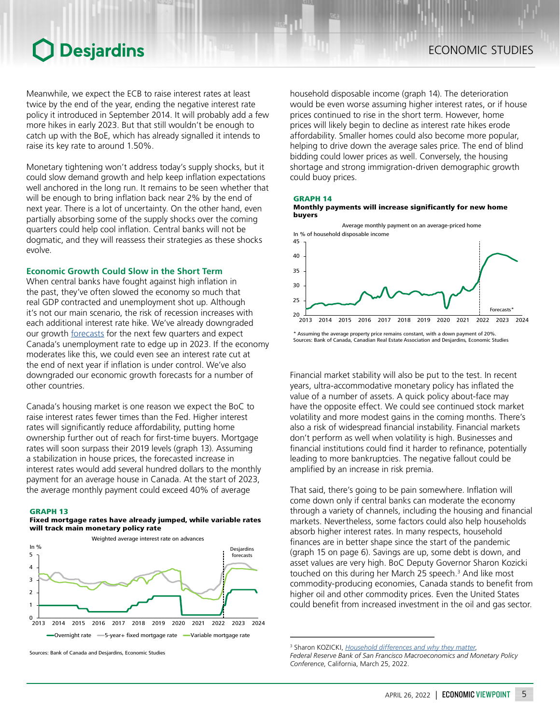## **O** Desjardins

Meanwhile, we expect the ECB to raise interest rates at least twice by the end of the year, ending the negative interest rate policy it introduced in September 2014. It will probably add a few more hikes in early 2023. But that still wouldn't be enough to catch up with the BoE, which has already signalled it intends to raise its key rate to around 1.50%.

Monetary tightening won't address today's supply shocks, but it could slow demand growth and help keep inflation expectations well anchored in the long run. It remains to be seen whether that will be enough to bring inflation back near 2% by the end of next year. There is a lot of uncertainty. On the other hand, even partially absorbing some of the supply shocks over the coming quarters could help cool inflation. Central banks will not be dogmatic, and they will reassess their strategies as these shocks evolve.

## **Economic Growth Could Slow in the Short Term**

When central banks have fought against high inflation in the past, they've often slowed the economy so much that real GDP contracted and unemployment shot up. Although it's not our main scenario, the risk of recession increases with each additional interest rate hike. We've already downgraded our growth [forecasts](https://www.desjardins.com/ressources/pdf/pefm2204-e.pdf?resVer=1650545873000) for the next few quarters and expect Canada's unemployment rate to edge up in 2023. If the economy moderates like this, we could even see an interest rate cut at the end of next year if inflation is under control. We've also downgraded our economic growth forecasts for a number of other countries.

Canada's housing market is one reason we expect the BoC to raise interest rates fewer times than the Fed. Higher interest rates will significantly reduce affordability, putting home ownership further out of reach for first-time buyers. Mortgage rates will soon surpass their 2019 levels (graph 13). Assuming a stabilization in house prices, the forecasted increase in interest rates would add several hundred dollars to the monthly payment for an average house in Canada. At the start of 2023, the average monthly payment could exceed 40% of average

#### GRAPH 13







Sources: Bank of Canada and Desjardins, Economic Studies

household disposable income (graph 14). The deterioration would be even worse assuming higher interest rates, or if house prices continued to rise in the short term. However, home prices will likely begin to decline as interest rate hikes erode affordability. Smaller homes could also become more popular, helping to drive down the average sales price. The end of blind bidding could lower prices as well. Conversely, the housing shortage and strong immigration-driven demographic growth could buoy prices.

#### GRAPH 14





\* Assuming the average property price remains constant, with a down payment of 20%. Sources: Bank of Canada, Canadian Real Estate Association and Desjardins, Economic Studies

Financial market stability will also be put to the test. In recent years, ultra-accommodative monetary policy has inflated the value of a number of assets. A quick policy about-face may have the opposite effect. We could see continued stock market volatility and more modest gains in the coming months. There's also a risk of widespread financial instability. Financial markets don't perform as well when volatility is high. Businesses and financial institutions could find it harder to refinance, potentially leading to more bankruptcies. The negative fallout could be amplified by an increase in risk premia.

That said, there's going to be pain somewhere. Inflation will come down only if central banks can moderate the economy through a variety of channels, including the housing and financial markets. Nevertheless, some factors could also help households absorb higher interest rates. In many respects, household finances are in better shape since the start of the pandemic (graph 15 on page 6). Savings are up, some debt is down, and asset values are very high. BoC Deputy Governor Sharon Kozicki touched on this during her March 25 speech.<sup>3</sup> And like most commodity-producing economies, Canada stands to benefit from higher oil and other commodity prices. Even the United States could benefit from increased investment in the oil and gas sector.

<sup>3</sup> Sharon KOZICKI, *[Household differences and why they matter](https://www.bankofcanada.ca/2022/03/household-differences-and-why-they-matter/?_ga=2.50658473.1264786205.1650911394-2031331208.1650911394)*,

*Federal Reserve Bank of San Francisco Macroeconomics and Monetary Policy Conference*, California, March 25, 2022.